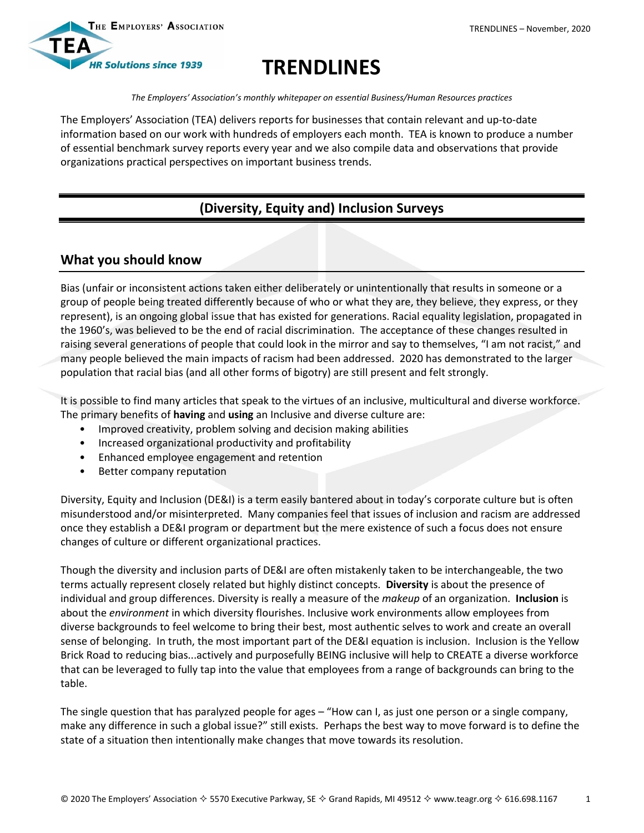

# **TRENDLINES**

*The Employers' Association's monthly whitepaper on essential Business/Human Resources practices*

The Employers' Association (TEA) delivers reports for businesses that contain relevant and up-to-date information based on our work with hundreds of employers each month. TEA is known to produce a number of essential benchmark survey reports every year and we also compile data and observations that provide organizations practical perspectives on important business trends.

## **(Diversity, Equity and) Inclusion Surveys**

## **What you should know**

Bias (unfair or inconsistent actions taken either deliberately or unintentionally that results in someone or a group of people being treated differently because of who or what they are, they believe, they express, or they represent), is an ongoing global issue that has existed for generations. Racial equality legislation, propagated in the 1960's, was believed to be the end of racial discrimination. The acceptance of these changes resulted in raising several generations of people that could look in the mirror and say to themselves, "I am not racist," and many people believed the main impacts of racism had been addressed. 2020 has demonstrated to the larger population that racial bias (and all other forms of bigotry) are still present and felt strongly.

It is possible to find many articles that speak to the virtues of an inclusive, multicultural and diverse workforce. The primary benefits of **having** and **using** an Inclusive and diverse culture are:

- Improved creativity, problem solving and decision making abilities
- Increased organizational productivity and profitability
- Enhanced employee engagement and retention
- Better company reputation

Diversity, Equity and Inclusion (DE&I) is a term easily bantered about in today's corporate culture but is often misunderstood and/or misinterpreted. Many companies feel that issues of inclusion and racism are addressed once they establish a DE&I program or department but the mere existence of such a focus does not ensure changes of culture or different organizational practices.

Though the diversity and inclusion parts of DE&I are often mistakenly taken to be interchangeable, the two terms actually represent closely related but highly distinct concepts. **Diversity** is about the presence of individual and group differences. Diversity is really a measure of the *makeup* of an organization. **Inclusion** is about the *environment* in which diversity flourishes. Inclusive work environments allow employees from diverse backgrounds to feel welcome to bring their best, most authentic selves to work and create an overall sense of belonging. In truth, the most important part of the DE&I equation is inclusion. Inclusion is the Yellow Brick Road to reducing bias...actively and purposefully BEING inclusive will help to CREATE a diverse workforce that can be leveraged to fully tap into the value that employees from a range of backgrounds can bring to the table.

The single question that has paralyzed people for ages – "How can I, as just one person or a single company, make any difference in such a global issue?" still exists. Perhaps the best way to move forward is to define the state of a situation then intentionally make changes that move towards its resolution.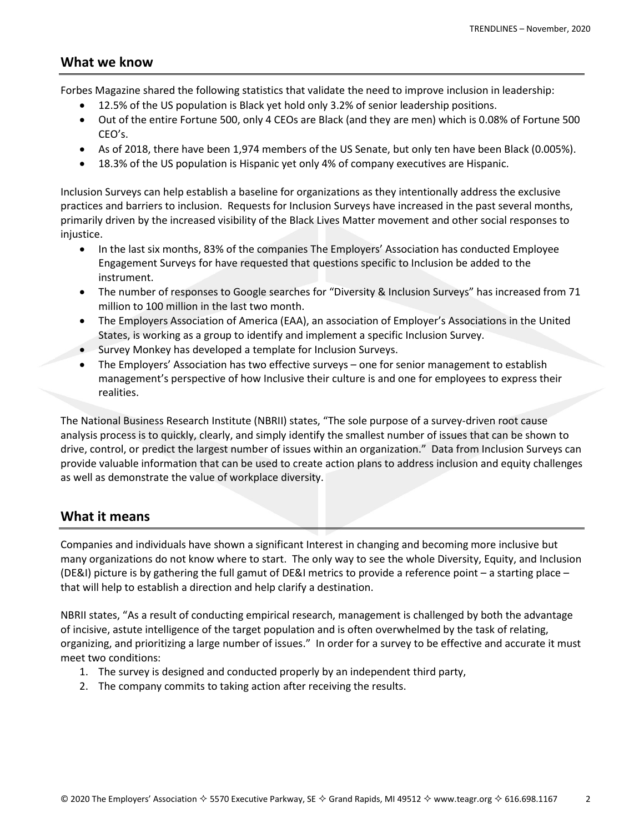### **What we know**

Forbes Magazine shared the following statistics that validate the need to improve inclusion in leadership:

- 12.5% of the US population is Black yet hold only 3.2% of senior leadership positions.
- Out of the entire Fortune 500, only 4 CEOs are Black (and they are men) which is 0.08% of Fortune 500 CEO's.
- As of 2018, there have been 1,974 members of the US Senate, but only ten have been Black (0.005%).
- 18.3% of the US population is Hispanic yet only 4% of company executives are Hispanic.

Inclusion Surveys can help establish a baseline for organizations as they intentionally address the exclusive practices and barriers to inclusion. Requests for Inclusion Surveys have increased in the past several months, primarily driven by the increased visibility of the Black Lives Matter movement and other social responses to injustice.

- In the last six months, 83% of the companies The Employers' Association has conducted Employee Engagement Surveys for have requested that questions specific to Inclusion be added to the instrument.
- The number of responses to Google searches for "Diversity & Inclusion Surveys" has increased from 71 million to 100 million in the last two month.
- The Employers Association of America (EAA), an association of Employer's Associations in the United States, is working as a group to identify and implement a specific Inclusion Survey.
- Survey Monkey has developed a template for Inclusion Surveys.
- The Employers' Association has two effective surveys one for senior management to establish management's perspective of how Inclusive their culture is and one for employees to express their realities.

The National Business Research Institute (NBRII) states, "The sole purpose of a survey-driven root cause analysis process is to quickly, clearly, and simply identify the smallest number of issues that can be shown to drive, control, or predict the largest number of issues within an organization." Data from Inclusion Surveys can provide valuable information that can be used to create action plans to address inclusion and equity challenges as well as demonstrate the value of workplace diversity.

## **What it means**

Companies and individuals have shown a significant Interest in changing and becoming more inclusive but many organizations do not know where to start. The only way to see the whole Diversity, Equity, and Inclusion (DE&I) picture is by gathering the full gamut of DE&I metrics to provide a reference point – a starting place – that will help to establish a direction and help clarify a destination.

NBRII states, "As a result of conducting empirical research, management is challenged by both the advantage of incisive, astute intelligence of the target population and is often overwhelmed by the task of relating, organizing, and prioritizing a large number of issues." In order for a survey to be effective and accurate it must meet two conditions:

- 1. The survey is designed and conducted properly by an independent third party,
- 2. The company commits to taking action after receiving the results.